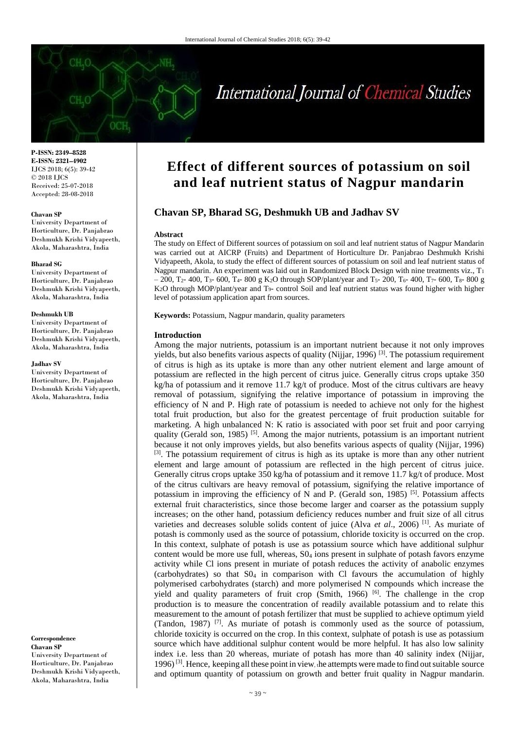# International Journal of Chemical Studies

**P-ISSN: 2349–8528 E-ISSN: 2321–4902** IJCS 2018; 6(5): 39-42 © 2018 IJCS Received: 25-07-2018 Accepted: 28-08-2018

#### **Chavan SP**

University Department of Horticulture, Dr. Panjabrao Deshmukh Krishi Vidyapeeth, Akola, Maharashtra, India

#### **Bharad SG**

University Department of Horticulture, Dr. Panjabrao Deshmukh Krishi Vidyapeeth, Akola, Maharashtra, India

#### **Deshmukh UB**

University Department of Horticulture, Dr. Panjabrao Deshmukh Krishi Vidyapeeth, Akola, Maharashtra, India

#### **Jadhav SV**

University Department of Horticulture, Dr. Panjabrao Deshmukh Krishi Vidyapeeth, Akola, Maharashtra, India

**Correspondence Chavan SP** University Department of Horticulture, Dr. Panjabrao Deshmukh Krishi Vidyapeeth, Akola, Maharashtra, India

# **Effect of different sources of potassium on soil and leaf nutrient status of Nagpur mandarin**

# **Chavan SP, Bharad SG, Deshmukh UB and Jadhav SV**

#### **Abstract**

The study on Effect of Different sources of potassium on soil and leaf nutrient status of Nagpur Mandarin was carried out at AICRP (Fruits) and Department of Horticulture Dr. Panjabrao Deshmukh Krishi Vidyapeeth, Akola, to study the effect of different sources of potassium on soil and leaf nutrient status of Nagpur mandarin. An experiment was laid out in Randomized Block Design with nine treatments viz., T<sub>1</sub>  $-200$ , T<sub>2</sub>- 400, T<sub>3</sub>- 600, T<sub>4</sub>- 800 g K<sub>2</sub>O through SOP/plant/year and T<sub>5</sub>- 200, T<sub>6</sub>- 400, T<sub>7</sub>- 600, T<sub>8</sub>- 800 g K2O through MOP/plant/year and T9- control Soil and leaf nutrient status was found higher with higher level of potassium application apart from sources.

**Keywords:** Potassium, Nagpur mandarin, quality parameters

## **Introduction**

Among the major nutrients, potassium is an important nutrient because it not only improves yields, but also benefits various aspects of quality (Nijjar, 1996)  $^{[3]}$ . The potassium requirement of citrus is high as its uptake is more than any other nutrient element and large amount of potassium are reflected in the high percent of citrus juice. Generally citrus crops uptake 350  $kg/ha$  of potassium and it remove 11.7 kg/t of produce. Most of the citrus cultivars are heavy removal of potassium, signifying the relative importance of potassium in improving the efficiency of N and P. High rate of potassium is needed to achieve not only for the highest total fruit production, but also for the greatest percentage of fruit production suitable for marketing. A high unbalanced N: K ratio is associated with poor set fruit and poor carrying quality (Gerald son, 1985)<sup>[5]</sup>. Among the major nutrients, potassium is an important nutrient because it not only improves yields, but also benefits various aspects of quality (Nijjar, 1996) <sup>[3]</sup>. The potassium requirement of citrus is high as its uptake is more than any other nutrient element and large amount of potassium are reflected in the high percent of citrus juice. Generally citrus crops uptake 350 kg/ha of potassium and it remove 11.7 kg/t of produce. Most of the citrus cultivars are heavy removal of potassium, signifying the relative importance of potassium in improving the efficiency of N and P. (Gerald son, 1985)<sup>[5]</sup>. Potassium affects external fruit characteristics, since those become larger and coarser as the potassium supply increases; on the other hand, potassium deficiency reduces number and fruit size of all citrus varieties and decreases soluble solids content of juice (Alva *et al*., 2006) [1] . As muriate of potash is commonly used as the source of potassium, chloride toxicity is occurred on the crop. In this context, sulphate of potash is use as potassium source which have additional sulphur content would be more use full, whereas, S0<sup>4</sup> ions present in sulphate of potash favors enzyme activity while Cl ions present in muriate of potash reduces the activity of anabolic enzymes (carbohydrates) so that  $SO_4$  in comparison with Cl favours the accumulation of highly polymerised carbohydrates (starch) and more polymerised N compounds which increase the yield and quality parameters of fruit crop (Smith, 1966) <sup>[6]</sup>. The challenge in the crop production is to measure the concentration of readily available potassium and to relate this measurement to the amount of potash fertilizer that must be supplied to achieve optimum yield (Tandon, 1987)  $[7]$ . As muriate of potash is commonly used as the source of potassium, chloride toxicity is occurred on the crop. In this context, sulphate of potash is use as potassium source which have additional sulphur content would be more helpful. It has also low salinity index i.e. less than 20 whereas, muriate of potash has more than 40 salinity index (Nijjar, 1996)<sup>[3]</sup>. Hence, keeping all these point in view, the attempts were made to find out suitable source and optimum quantity of potassium on growth and better fruit quality in Nagpur mandarin.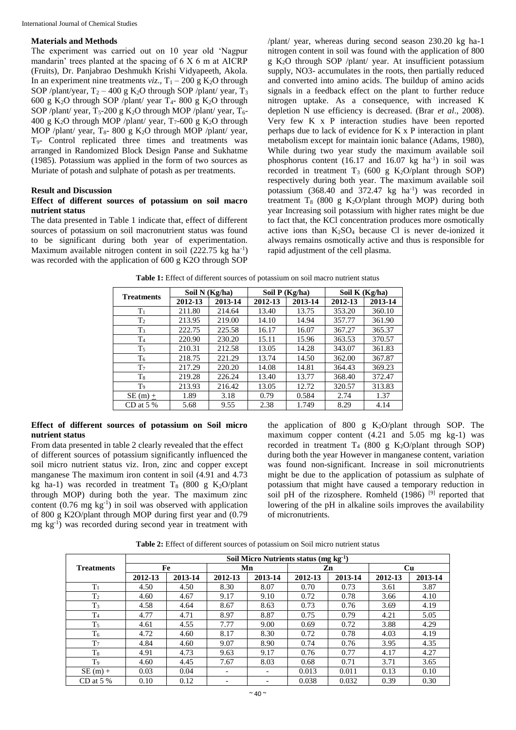#### **Materials and Methods**

The experiment was carried out on 10 year old 'Nagpur mandarin' trees planted at the spacing of 6 X 6 m at AICRP (Fruits), Dr. Panjabrao Deshmukh Krishi Vidyapeeth, Akola. In an experiment nine treatments  $viz.$ ,  $T_1 - 200$  g  $K_2O$  through SOP /plant/year,  $T_2 - 400$  g K<sub>2</sub>O through SOP /plant/ year,  $T_3$ 600 g K<sub>2</sub>O through SOP /plant/ year  $T_4$ - 800 g K<sub>2</sub>O through SOP /plant/ year,  $T_5$ -200 g  $K_2O$  through MOP /plant/ year,  $T_6$ -400 g K<sub>2</sub>O through MOP /plant/ year,  $T_7$ -600 g K<sub>2</sub>O through MOP /plant/ year,  $T_8$ - 800 g K<sub>2</sub>O through MOP /plant/ year, T9- Control replicated three times and treatments was arranged in Randomized Block Design Panse and Sukhatme (1985). Potassium was applied in the form of two sources as Muriate of potash and sulphate of potash as per treatments.

# **Result and Discussion**

# **Effect of different sources of potassium on soil macro nutrient status**

The data presented in Table 1 indicate that, effect of different sources of potassium on soil macronutrient status was found to be significant during both year of experimentation. Maximum available nitrogen content in soil (222.75 kg ha<sup>-1</sup>) was recorded with the application of 600 g K2O through SOP

/plant/ year, whereas during second season 230.20 kg ha-1 nitrogen content in soil was found with the application of 800 g K2O through SOP /plant/ year. At insufficient potassium supply, NO3- accumulates in the roots, then partially reduced and converted into amino acids. The buildup of amino acids signals in a feedback effect on the plant to further reduce nitrogen uptake. As a consequence, with increased K depletion N use efficiency is decreased. (Brar *et al*., 2008). Very few K x P interaction studies have been reported perhaps due to lack of evidence for K x P interaction in plant metabolism except for maintain ionic balance (Adams, 1980), While during two year study the maximum available soil phosphorus content  $(16.17 \text{ and } 16.07 \text{ kg} \text{ ha}^{-1})$  in soil was recorded in treatment  $T_3$  (600 g K<sub>2</sub>O/plant through SOP) respectively during both year. The maximum available soil potassium  $(368.40$  and  $372.47$  kg ha<sup>-1</sup>) was recorded in treatment  $T_8$  (800 g K<sub>2</sub>O/plant through MOP) during both year Increasing soil potassium with higher rates might be due to fact that, the KCl concentration produces more osmotically active ions than  $K_2SO_4$  because Cl is never de-ionized it always remains osmotically active and thus is responsible for rapid adjustment of the cell plasma.

| <b>Treatments</b> | Soil N (Kg/ha) |         | Soil $P$ (Kg/ha) |         | Soil K $(Kg/ha)$ |         |  |
|-------------------|----------------|---------|------------------|---------|------------------|---------|--|
|                   | 2012-13        | 2013-14 | 2012-13          | 2013-14 | 2012-13          | 2013-14 |  |
| $T_1$             | 211.80         | 214.64  | 13.40            | 13.75   | 353.20           | 360.10  |  |
| T <sub>2</sub>    | 213.95         | 219.00  | 14.10            | 14.94   | 357.77           | 361.90  |  |
| T <sub>3</sub>    | 222.75         | 225.58  | 16.17            | 16.07   | 367.27           | 365.37  |  |
| T <sub>4</sub>    | 220.90         | 230.20  | 15.11            | 15.96   | 363.53           | 370.57  |  |
| $T_5$             | 210.31         | 212.58  | 13.05            | 14.28   | 343.07           | 361.83  |  |
| T <sub>6</sub>    | 218.75         | 221.29  | 13.74            | 14.50   | 362.00           | 367.87  |  |
| $T_7$             | 217.29         | 220.20  | 14.08            | 14.81   | 364.43           | 369.23  |  |
| $T_{8}$           | 219.28         | 226.24  | 13.40            | 13.77   | 368.40           | 372.47  |  |
| T9                | 213.93         | 216.42  | 13.05            | 12.72   | 320.57           | 313.83  |  |
| $SE(m) +$         | 1.89           | 3.18    | 0.79             | 0.584   | 2.74             | 1.37    |  |
| CD at 5 $%$       | 5.68           | 9.55    | 2.38             | 1.749   | 8.29             | 4.14    |  |

**Table 1:** Effect of different sources of potassium on soil macro nutrient status

## **Effect of different sources of potassium on Soil micro nutrient status**

From data presented in table 2 clearly revealed that the effect of different sources of potassium significantly influenced the soil micro nutrient status viz. Iron, zinc and copper except manganese The maximum iron content in soil (4.91 and 4.73 kg ha-1) was recorded in treatment  $T_8$  (800 g K<sub>2</sub>O/plant through MOP) during both the year. The maximum zinc content  $(0.76 \text{ mg kg}^{-1})$  in soil was observed with application of 800 g K2O/plant through MOP during first year and (0.79 mg kg-1 ) was recorded during second year in treatment with the application of 800 g  $K_2O/plant$  through SOP. The maximum copper content (4.21 and 5.05 mg kg-1) was recorded in treatment  $T_4$  (800 g K<sub>2</sub>O/plant through SOP) during both the year However in manganese content, variation was found non-significant. Increase in soil micronutrients might be due to the application of potassium as sulphate of potassium that might have caused a temporary reduction in soil pH of the rizosphere. Romheld (1986)<sup>[9]</sup> reported that lowering of the pH in alkaline soils improves the availability of micronutrients.

**Table 2:** Effect of different sources of potassium on Soil micro nutrient status

|                   | Soil Micro Nutrients status (mg $kg^{-1}$ ) |         |         |                          |         |         |           |         |  |  |
|-------------------|---------------------------------------------|---------|---------|--------------------------|---------|---------|-----------|---------|--|--|
| <b>Treatments</b> | Fe                                          |         |         | Mn                       |         | Zn      | <b>Cu</b> |         |  |  |
|                   | 2012-13                                     | 2013-14 | 2012-13 | 2013-14                  | 2012-13 | 2013-14 | 2012-13   | 2013-14 |  |  |
| $T_1$             | 4.50                                        | 4.50    | 8.30    | 8.07                     | 0.70    | 0.73    | 3.61      | 3.87    |  |  |
| T <sub>2</sub>    | 4.60                                        | 4.67    | 9.17    | 9.10                     | 0.72    | 0.78    | 3.66      | 4.10    |  |  |
| $T_3$             | 4.58                                        | 4.64    | 8.67    | 8.63                     | 0.73    | 0.76    | 3.69      | 4.19    |  |  |
| T <sub>4</sub>    | 4.77                                        | 4.71    | 8.97    | 8.87                     | 0.75    | 0.79    | 4.21      | 5.05    |  |  |
| $T_5$             | 4.61                                        | 4.55    | 7.77    | 9.00                     | 0.69    | 0.72    | 3.88      | 4.29    |  |  |
| T <sub>6</sub>    | 4.72                                        | 4.60    | 8.17    | 8.30                     | 0.72    | 0.78    | 4.03      | 4.19    |  |  |
| T <sub>7</sub>    | 4.84                                        | 4.60    | 9.07    | 8.90                     | 0.74    | 0.76    | 3.95      | 4.35    |  |  |
| $T_8$             | 4.91                                        | 4.73    | 9.63    | 9.17                     | 0.76    | 0.77    | 4.17      | 4.27    |  |  |
| T <sub>9</sub>    | 4.60                                        | 4.45    | 7.67    | 8.03                     | 0.68    | 0.71    | 3.71      | 3.65    |  |  |
| $SE(m) +$         | 0.03                                        | 0.04    | -       | $\overline{\phantom{a}}$ | 0.013   | 0.011   | 0.13      | 0.10    |  |  |
| CD at $5%$        | 0.10                                        | 0.12    |         |                          | 0.038   | 0.032   | 0.39      | 0.30    |  |  |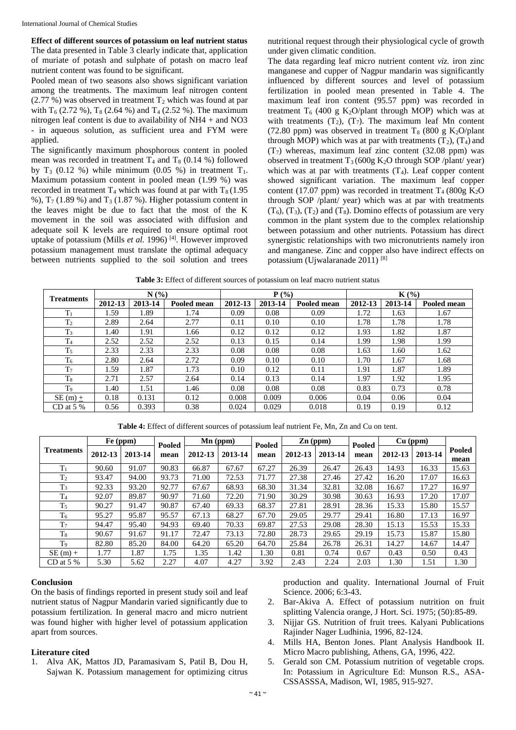**Effect of different sources of potassium on leaf nutrient status** The data presented in Table 3 clearly indicate that, application of muriate of potash and sulphate of potash on macro leaf nutrient content was found to be significant.

Pooled mean of two seasons also shows significant variation among the treatments. The maximum leaf nitrogen content  $(2.77\%)$  was observed in treatment  $T_2$  which was found at par with  $T_6$  (2.72 %),  $T_8$  (2.64 %) and  $T_4$  (2.52 %). The maximum nitrogen leaf content is due to availability of NH4 + and NO3 - in aqueous solution, as sufficient urea and FYM were applied.

The significantly maximum phosphorous content in pooled mean was recorded in treatment  $T_4$  and  $T_8$  (0.14 %) followed by  $T_3$  (0.12 %) while minimum (0.05 %) in treatment  $T_1$ . Maximum potassium content in pooled mean (1.99 %) was recorded in treatment  $T_4$  which was found at par with  $T_8 (1.95$ %),  $T_7$  (1.89 %) and  $T_3$  (1.87 %). Higher potassium content in the leaves might be due to fact that the most of the K movement in the soil was associated with diffusion and adequate soil K levels are required to ensure optimal root uptake of potassium (Mills *et al.* 1996) [4] . However improved potassium management must translate the optimal adequacy between nutrients supplied to the soil solution and trees

nutritional request through their physiological cycle of growth under given climatic condition.

The data regarding leaf micro nutrient content *viz.* iron zinc manganese and cupper of Nagpur mandarin was significantly influenced by different sources and level of potassium fertilization in pooled mean presented in Table 4. The maximum leaf iron content (95.57 ppm) was recorded in treatment  $T_6$  (400 g K<sub>2</sub>O/plant through MOP) which was at with treatments  $(T_2)$ ,  $(T_7)$ . The maximum leaf Mn content (72.80 ppm) was observed in treatment  $T_8$  (800 g K<sub>2</sub>O/plant through MOP) which was at par with treatments  $(T_2)$ ,  $(T_4)$  and  $(T<sub>7</sub>)$  whereas, maximum leaf zinc content (32.08 ppm) was observed in treatment  $T_3$  (600g K<sub>2</sub>O through SOP /plant/ year) which was at par with treatments  $(T_4)$ . Leaf copper content showed significant variation. The maximum leaf copper content (17.07 ppm) was recorded in treatment  $T_4$  (800g K<sub>2</sub>O) through SOP /plant/ year) which was at par with treatments  $(T_6)$ ,  $(T_3)$ ,  $(T_2)$  and  $(T_8)$ . Domino effects of potassium are very common in the plant system due to the complex relationship between potassium and other nutrients. Potassium has direct synergistic relationships with two micronutrients namely iron and manganese. Zinc and copper also have indirect effects on potassium (Ujwalaranade 2011) [8]

| Table 3: Effect of different sources of potassium on leaf macro nutrient status |  |  |  |
|---------------------------------------------------------------------------------|--|--|--|
|                                                                                 |  |  |  |

| <b>Treatments</b> |         | N(%)    |             |         | $P($ %) |             | $K(\%)$ |         |             |  |
|-------------------|---------|---------|-------------|---------|---------|-------------|---------|---------|-------------|--|
|                   | 2012-13 | 2013-14 | Pooled mean | 2012-13 | 2013-14 | Pooled mean | 2012-13 | 2013-14 | Pooled mean |  |
| $T_1$             | 1.59    | 1.89    | 1.74        | 0.09    | 0.08    | 0.09        | 1.72    | 1.63    | 1.67        |  |
| T <sub>2</sub>    | 2.89    | 2.64    | 2.77        | 0.11    | 0.10    | 0.10        | 1.78    | 1.78    | 1.78        |  |
| $T_3$             | l.40    | 1.91    | 1.66        | 0.12    | 0.12    | 0.12        | 1.93    | 1.82    | 1.87        |  |
| T <sub>4</sub>    | 2.52    | 2.52    | 2.52        | 0.13    | 0.15    | 0.14        | 1.99    | 1.98    | 1.99        |  |
| $T_5$             | 2.33    | 2.33    | 2.33        | 0.08    | 0.08    | 0.08        | 1.63    | 1.60    | 1.62        |  |
| T <sub>6</sub>    | 2.80    | 2.64    | 2.72        | 0.09    | 0.10    | 0.10        | 1.70    | 1.67    | 1.68        |  |
| T <sub>7</sub>    | 1.59    | 1.87    | 1.73        | 0.10    | 0.12    | 0.11        | 1.91    | 1.87    | 1.89        |  |
| T <sub>8</sub>    | 2.71    | 2.57    | 2.64        | 0.14    | 0.13    | 0.14        | 1.97    | 1.92    | 1.95        |  |
| T <sub>9</sub>    | l.40    | 1.51    | 1.46        | 0.08    | 0.08    | 0.08        | 0.83    | 0.73    | 0.78        |  |
| SE (m) $\pm$      | 0.18    | 0.131   | 0.12        | 0.008   | 0.009   | 0.006       | 0.04    | 0.06    | 0.04        |  |
| CD at $5\%$       | 0.56    | 0.393   | 0.38        | 0.024   | 0.029   | 0.018       | 0.19    | 0.19    | 0.12        |  |

**Table 4:** Effect of different sources of potassium leaf nutrient Fe, Mn, Zn and Cu on tent.

|                   |         | Fe (ppm) | $Mn$ (ppm)<br>Pooled |         |         | Pooled | $Zn$ (ppm) |         | Cu (ppm)<br>Pooled |         |         |                |
|-------------------|---------|----------|----------------------|---------|---------|--------|------------|---------|--------------------|---------|---------|----------------|
| <b>Treatments</b> | 2012-13 | 2013-14  | mean                 | 2012-13 | 2013-14 | mean   | 2012-13    | 2013-14 | mean               | 2012-13 | 2013-14 | Pooled<br>mean |
| $T_1$             | 90.60   | 91.07    | 90.83                | 66.87   | 67.67   | 67.27  | 26.39      | 26.47   | 26.43              | 14.93   | 16.33   | 15.63          |
| T <sub>2</sub>    | 93.47   | 94.00    | 93.73                | 71.00   | 72.53   | 71.77  | 27.38      | 27.46   | 27.42              | 16.20   | 17.07   | 16.63          |
| $T_3$             | 92.33   | 93.20    | 92.77                | 67.67   | 68.93   | 68.30  | 31.34      | 32.81   | 32.08              | 16.67   | 17.27   | 16.97          |
| T <sub>4</sub>    | 92.07   | 89.87    | 90.97                | 71.60   | 72.20   | 71.90  | 30.29      | 30.98   | 30.63              | 16.93   | 17.20   | 17.07          |
| T <sub>5</sub>    | 90.27   | 91.47    | 90.87                | 67.40   | 69.33   | 68.37  | 27.81      | 28.91   | 28.36              | 15.33   | 15.80   | 15.57          |
| T <sub>6</sub>    | 95.27   | 95.87    | 95.57                | 67.13   | 68.27   | 67.70  | 29.05      | 29.77   | 29.41              | 16.80   | 17.13   | 16.97          |
| T <sub>7</sub>    | 94.47   | 95.40    | 94.93                | 69.40   | 70.33   | 69.87  | 27.53      | 29.08   | 28.30              | 15.13   | 15.53   | 15.33          |
| T <sub>8</sub>    | 90.67   | 91.67    | 91.17                | 72.47   | 73.13   | 72.80  | 28.73      | 29.65   | 29.19              | 15.73   | 15.87   | 15.80          |
| T <sub>9</sub>    | 82.80   | 85.20    | 84.00                | 64.20   | 65.20   | 64.70  | 25.84      | 26.78   | 26.31              | 14.27   | 14.67   | 14.47          |
| $SE(m) +$         | 1.77    | 1.87     | 1.75                 | 1.35    | 1.42    | 1.30   | 0.81       | 0.74    | 0.67               | 0.43    | 0.50    | 0.43           |
| CD at $5\%$       | 5.30    | 5.62     | 2.27                 | 4.07    | 4.27    | 3.92   | 2.43       | 2.24    | 2.03               | 1.30    | 1.51    | 1.30           |

# **Conclusion**

On the basis of findings reported in present study soil and leaf nutrient status of Nagpur Mandarin varied significantly due to potassium fertilization. In general macro and micro nutrient was found higher with higher level of potassium application apart from sources.

## **Literature cited**

1. Alva AK, Mattos JD, Paramasivam S, Patil B, Dou H, Sajwan K. Potassium management for optimizing citrus

production and quality. International Journal of Fruit Science. 2006; 6:3-43.

- 2. Bar-Akiva A. Effect of potassium nutrition on fruit splitting Valencia orange, J Hort. Sci. 1975; (50):85-89.
- 3. Nijjar GS. Nutrition of fruit trees. Kalyani Publications Rajinder Nager Ludhinia, 1996, 82-124.
- 4. Mills HA, Benton Jones. Plant Analysis Handbook II. Micro Macro publishing, Athens, GA, 1996, 422.
- 5. Gerald son CM. Potassium nutrition of vegetable crops. In: Potassium in Agriculture Ed: Munson R.S., ASA-CSSASSSA, Madison, WI, 1985, 915-927.